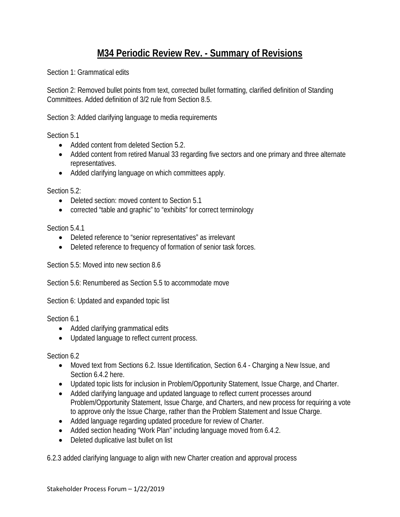# **M34 Periodic Review Rev. - Summary of Revisions**

Section 1: Grammatical edits

Section 2: Removed bullet points from text, corrected bullet formatting, clarified definition of Standing Committees. Added definition of 3/2 rule from Section 8.5.

Section 3: Added clarifying language to media requirements

Section 5.1

- Added content from deleted Section 5.2.
- Added content from retired Manual 33 regarding five sectors and one primary and three alternate representatives.
- Added clarifying language on which committees apply.

Section 5.2:

- Deleted section: moved content to Section 5.1
- corrected "table and graphic" to "exhibits" for correct terminology

Section 5.4.1

- Deleted reference to "senior representatives" as irrelevant
- Deleted reference to frequency of formation of senior task forces.

Section 5.5: Moved into new section 8.6

Section 5.6: Renumbered as Section 5.5 to accommodate move

Section 6: Updated and expanded topic list

Section 6.1

- Added clarifying grammatical edits
- Updated language to reflect current process.

Section 6.2

- Moved text from Sections 6.2. Issue Identification, Section 6.4 Charging a New Issue, and Section 6.4.2 here.
- Updated topic lists for inclusion in Problem/Opportunity Statement, Issue Charge, and Charter.
- Added clarifying language and updated language to reflect current processes around Problem/Opportunity Statement, Issue Charge, and Charters, and new process for requiring a vote to approve only the Issue Charge, rather than the Problem Statement and Issue Charge.
- Added language regarding updated procedure for review of Charter.
- Added section heading "Work Plan" including language moved from 6.4.2.
- Deleted duplicative last bullet on list

6.2.3 added clarifying language to align with new Charter creation and approval process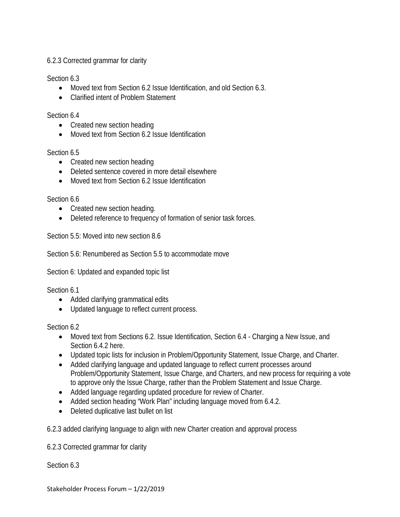## 6.2.3 Corrected grammar for clarity

Section 6.3

- Moved text from Section 6.2 Issue Identification, and old Section 6.3.
- Clarified intent of Problem Statement

## Section 6.4

- Created new section heading
- Moved text from Section 6.2 Issue Identification

Section 6.5

- Created new section heading
- Deleted sentence covered in more detail elsewhere
- Moved text from Section 6.2 Issue Identification

Section 6.6

- Created new section heading.
- Deleted reference to frequency of formation of senior task forces.

Section 5.5: Moved into new section 8.6

Section 5.6: Renumbered as Section 5.5 to accommodate move

Section 6: Updated and expanded topic list

Section 6.1

- Added clarifying grammatical edits
- Updated language to reflect current process.

Section 6.2

- Moved text from Sections 6.2. Issue Identification, Section 6.4 Charging a New Issue, and Section 6.4.2 here.
- Updated topic lists for inclusion in Problem/Opportunity Statement, Issue Charge, and Charter.
- Added clarifying language and updated language to reflect current processes around Problem/Opportunity Statement, Issue Charge, and Charters, and new process for requiring a vote to approve only the Issue Charge, rather than the Problem Statement and Issue Charge.
- Added language regarding updated procedure for review of Charter.
- Added section heading "Work Plan" including language moved from 6.4.2.
- Deleted duplicative last bullet on list

6.2.3 added clarifying language to align with new Charter creation and approval process

6.2.3 Corrected grammar for clarity

Section 6.3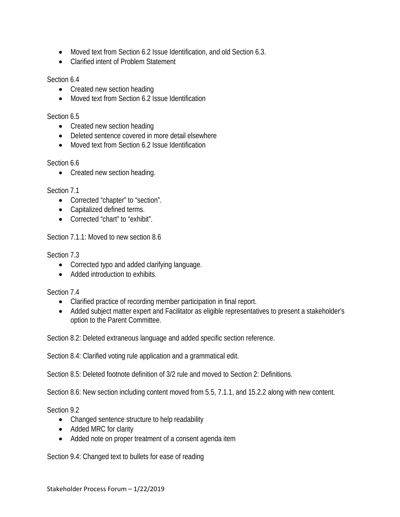- Moved text from Section 6.2 Issue Identification, and old Section 6.3.
- Clarified intent of Problem Statement

#### Section 6.4

- Created new section heading
- Moved text from Section 6.2 Issue Identification

#### Section 6.5

- Created new section heading
- Deleted sentence covered in more detail elsewhere
- Moved text from Section 6.2 Issue Identification

#### Section 6.6

• Created new section heading.

## Section 7.1

- Corrected "chapter" to "section".
- Capitalized defined terms.
- Corrected "chart" to "exhibit".

## Section 7.1.1: Moved to new section 8.6

## Section 7.3

- Corrected typo and added clarifying language.
- Added introduction to exhibits

## Section 7.4

- Clarified practice of recording member participation in final report.
- Added subject matter expert and Facilitator as eligible representatives to present a stakeholder's option to the Parent Committee.

Section 8.2: Deleted extraneous language and added specific section reference.

Section 8.4: Clarified voting rule application and a grammatical edit.

Section 8.5: Deleted footnote definition of 3/2 rule and moved to Section 2: Definitions.

Section 8.6: New section including content moved from 5.5, 7.1.1, and 15.2.2 along with new content.

Section 9.2

- Changed sentence structure to help readability
- Added MRC for clarity
- Added note on proper treatment of a consent agenda item

Section 9.4: Changed text to bullets for ease of reading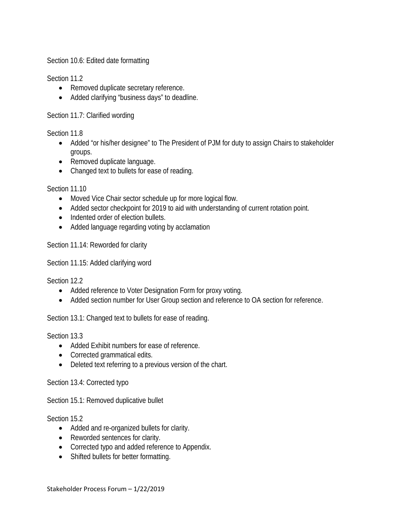Section 10.6: Edited date formatting

Section 11.2

- Removed duplicate secretary reference.
- Added clarifying "business days" to deadline.

Section 11.7: Clarified wording

Section 11.8

- Added "or his/her designee" to The President of PJM for duty to assign Chairs to stakeholder groups.
- Removed duplicate language.
- Changed text to bullets for ease of reading.

Section 11.10

- Moved Vice Chair sector schedule up for more logical flow.
- Added sector checkpoint for 2019 to aid with understanding of current rotation point.
- Indented order of election bullets.
- Added language regarding voting by acclamation

Section 11.14: Reworded for clarity

Section 11.15: Added clarifying word

Section 12.2

- Added reference to Voter Designation Form for proxy voting.
- Added section number for User Group section and reference to OA section for reference.

Section 13.1: Changed text to bullets for ease of reading.

Section 13.3

- Added Exhibit numbers for ease of reference.
- Corrected grammatical edits.
- Deleted text referring to a previous version of the chart.

Section 13.4: Corrected typo

Section 15.1: Removed duplicative bullet

Section 15.2

- Added and re-organized bullets for clarity.
- Reworded sentences for clarity.
- Corrected typo and added reference to Appendix.
- Shifted bullets for better formatting.